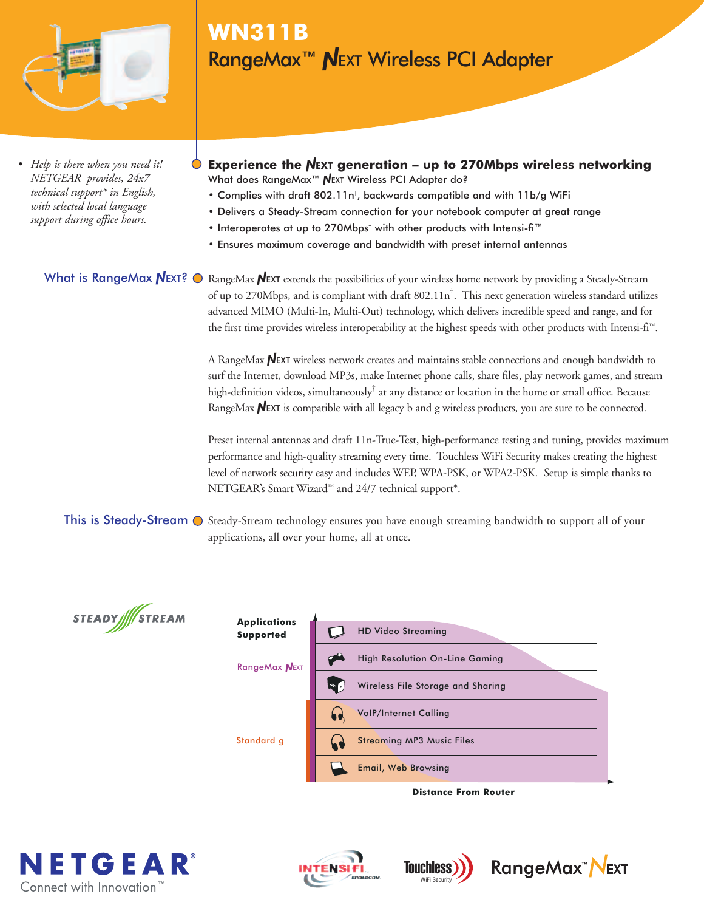

*• Help is there when you need it! NETGEAR provides, 24x7 technical support\* in English, with selected local language support during office hours.*

# **WN311B** RangeMax<sup>™</sup> NEXT Wireless PCI Adapter

- **Experience the NEXT generation up to 270Mbps wireless networking** What does RangeMax<sup>™</sup> NEXT Wireless PCI Adapter do?
	- Complies with draft 802.11n† , backwards compatible and with 11b/g WiFi
	- Delivers a Steady-Stream connection for your notebook computer at great range
	- Interoperates at up to 270Mbps† with other products with Intensi-fi™
	- Ensures maximum coverage and bandwidth with preset internal antennas

### What is RangeMax  $N_{\text{EXT}}$ ?  $\odot$

RangeMax NEXT extends the possibilities of your wireless home network by providing a Steady-Stream of up to 270Mbps, and is compliant with draft 802.11n<sup>†</sup>. This next generation wireless standard utilizes advanced MIMO (Multi-In, Multi-Out) technology, which delivers incredible speed and range, and for the first time provides wireless interoperability at the highest speeds with other products with Intensi-fi™.

A RangeMax  $N$ EXT wireless network creates and maintains stable connections and enough bandwidth to surf the Internet, download MP3s, make Internet phone calls, share files, play network games, and stream high-definition videos, simultaneously<sup>†</sup> at any distance or location in the home or small office. Because RangeMax  $N$ EXT is compatible with all legacy b and g wireless products, you are sure to be connected.

Preset internal antennas and draft 11n-True-Test, high-performance testing and tuning, provides maximum performance and high-quality streaming every time. Touchless WiFi Security makes creating the highest level of network security easy and includes WEP, WPA-PSK, or WPA2-PSK. Setup is simple thanks to NETGEAR's Smart Wizard™ and 24/7 technical support\*.

This is Steady-Stream  $\odot$  Steady-Stream technology ensures you have enough streaming bandwidth to support all of your applications, all over your home, all at once.





**Distance From Router**